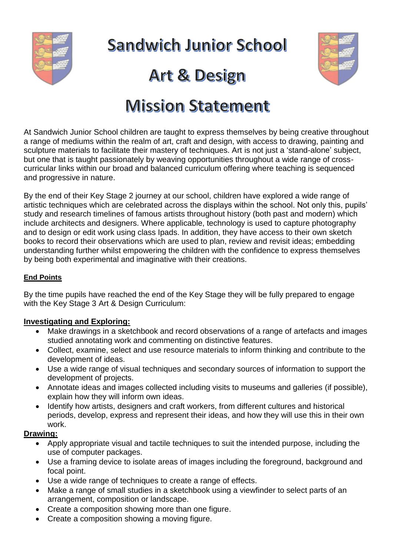

**Sandwich Junior School** 

# **Art & Design**



# **Mission Statement**

At Sandwich Junior School children are taught to express themselves by being creative throughout a range of mediums within the realm of art, craft and design, with access to drawing, painting and sculpture materials to facilitate their mastery of techniques. Art is not just a 'stand-alone' subject, but one that is taught passionately by weaving opportunities throughout a wide range of crosscurricular links within our broad and balanced curriculum offering where teaching is sequenced and progressive in nature.

By the end of their Key Stage 2 journey at our school, children have explored a wide range of artistic techniques which are celebrated across the displays within the school. Not only this, pupils' study and research timelines of famous artists throughout history (both past and modern) which include architects and designers. Where applicable, technology is used to capture photography and to design or edit work using class Ipads. In addition, they have access to their own sketch books to record their observations which are used to plan, review and revisit ideas; embedding understanding further whilst empowering the children with the confidence to express themselves by being both experimental and imaginative with their creations.

### **End Points**

By the time pupils have reached the end of the Key Stage they will be fully prepared to engage with the Key Stage 3 Art & Design Curriculum:

#### **Investigating and Exploring:**

- Make drawings in a sketchbook and record observations of a range of artefacts and images studied annotating work and commenting on distinctive features.
- Collect, examine, select and use resource materials to inform thinking and contribute to the development of ideas.
- Use a wide range of visual techniques and secondary sources of information to support the development of projects.
- Annotate ideas and images collected including visits to museums and galleries (if possible), explain how they will inform own ideas.
- Identify how artists, designers and craft workers, from different cultures and historical periods, develop, express and represent their ideas, and how they will use this in their own work.

## **Drawing:**

- Apply appropriate visual and tactile techniques to suit the intended purpose, including the use of computer packages.
- Use a framing device to isolate areas of images including the foreground, background and focal point.
- Use a wide range of techniques to create a range of effects.
- Make a range of small studies in a sketchbook using a viewfinder to select parts of an arrangement, composition or landscape.
- Create a composition showing more than one figure.
- Create a composition showing a moving figure.